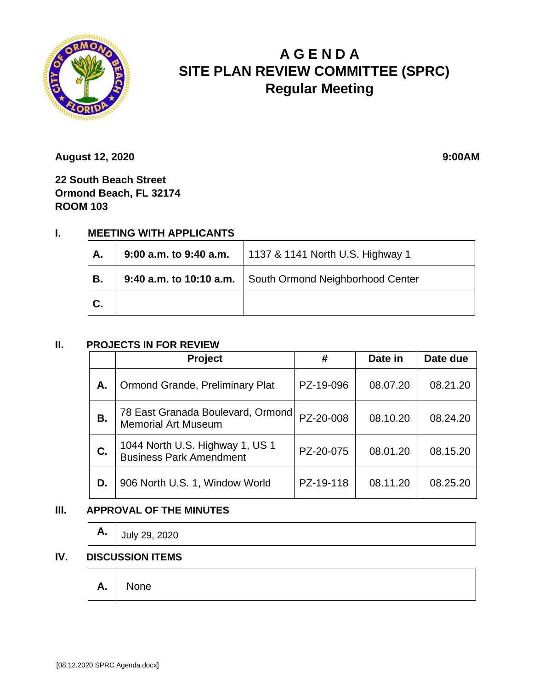

# **A G E N D A SITE PLAN REVIEW COMMITTEE (SPRC) Regular Meeting**

**August 12, 2020** 9:00AM

**22 South Beach Street Ormond Beach, FL 32174 ROOM 103**

## **I. MEETING WITH APPLICANTS**

| А. | 9:00 a.m. to 9:40 a.m.  | 1137 & 1141 North U.S. Highway 1 |
|----|-------------------------|----------------------------------|
| В. | 9:40 a.m. to 10:10 a.m. | South Ormond Neighborhood Center |
|    |                         |                                  |

#### **II. PROJECTS IN FOR REVIEW**

|    | Project                                                           | #         | Date in  | Date due |
|----|-------------------------------------------------------------------|-----------|----------|----------|
| Α. | Ormond Grande, Preliminary Plat                                   | PZ-19-096 | 08.07.20 | 08.21.20 |
| В. | 78 East Granada Boulevard, Ormond<br><b>Memorial Art Museum</b>   | PZ-20-008 | 08.10.20 | 08.24.20 |
| C. | 1044 North U.S. Highway 1, US 1<br><b>Business Park Amendment</b> | PZ-20-075 | 08.01.20 | 08.15.20 |
| D. | 906 North U.S. 1, Window World                                    | PZ-19-118 | 08.11.20 | 08.25.20 |

### **III. APPROVAL OF THE MINUTES**

**A.** July 29, 2020

## **IV. DISCUSSION ITEMS**

**A.** None